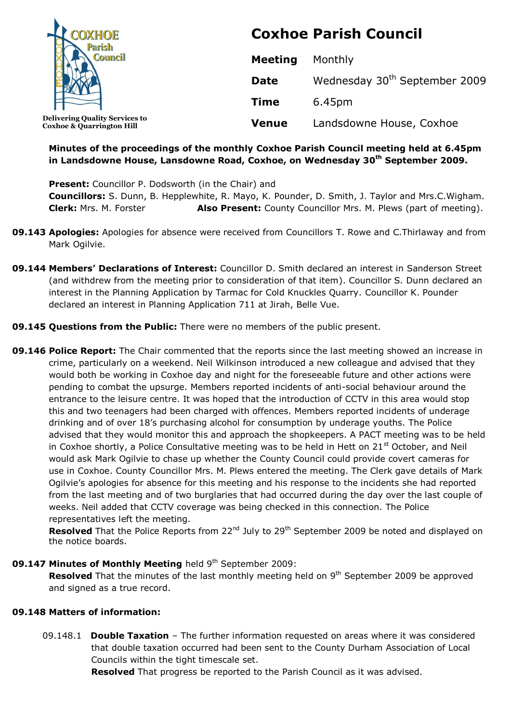| <b>OXHOE</b>                                                                  | <b>Coxhoe Parish Council</b> |                                           |
|-------------------------------------------------------------------------------|------------------------------|-------------------------------------------|
|                                                                               | <b>Meeting</b>               | Monthly                                   |
|                                                                               | <b>Date</b>                  | Wednesday 30 <sup>th</sup> September 2009 |
|                                                                               | <b>Time</b>                  | 6.45pm                                    |
| <b>Delivering Quality Services to</b><br><b>Coxhoe &amp; Quarrington Hill</b> | <b>Venue</b>                 | Landsdowne House, Coxhoe                  |

### **Minutes of the proceedings of the monthly Coxhoe Parish Council meeting held at 6.45pm in Landsdowne House, Lansdowne Road, Coxhoe, on Wednesday 30th September 2009.**

**Present:** Councillor P. Dodsworth (in the Chair) and **Councillors:** S. Dunn, B. Hepplewhite, R. Mayo, K. Pounder, D. Smith, J. Taylor and Mrs.C.Wigham. **Clerk:** Mrs. M. Forster **Also Present:** County Councillor Mrs. M. Plews (part of meeting).

- **09.143 Apologies:** Apologies for absence were received from Councillors T. Rowe and C.Thirlaway and from Mark Ogilvie.
- **09.144 Members' Declarations of Interest:** Councillor D. Smith declared an interest in Sanderson Street (and withdrew from the meeting prior to consideration of that item). Councillor S. Dunn declared an interest in the Planning Application by Tarmac for Cold Knuckles Quarry. Councillor K. Pounder declared an interest in Planning Application 711 at Jirah, Belle Vue.
- **09.145 Questions from the Public:** There were no members of the public present.
- **09.146 Police Report:** The Chair commented that the reports since the last meeting showed an increase in crime, particularly on a weekend. Neil Wilkinson introduced a new colleague and advised that they would both be working in Coxhoe day and night for the foreseeable future and other actions were pending to combat the upsurge. Members reported incidents of anti-social behaviour around the entrance to the leisure centre. It was hoped that the introduction of CCTV in this area would stop this and two teenagers had been charged with offences. Members reported incidents of underage drinking and of over 18's purchasing alcohol for consumption by underage youths. The Police advised that they would monitor this and approach the shopkeepers. A PACT meeting was to be held in Coxhoe shortly, a Police Consultative meeting was to be held in Hett on  $21<sup>st</sup>$  October, and Neil would ask Mark Ogilvie to chase up whether the County Council could provide covert cameras for use in Coxhoe. County Councillor Mrs. M. Plews entered the meeting. The Clerk gave details of Mark Ogilvie's apologies for absence for this meeting and his response to the incidents she had reported from the last meeting and of two burglaries that had occurred during the day over the last couple of weeks. Neil added that CCTV coverage was being checked in this connection. The Police representatives left the meeting.

**Resolved** That the Police Reports from 22<sup>nd</sup> July to 29<sup>th</sup> September 2009 be noted and displayed on the notice boards.

### **09.147 Minutes of Monthly Meeting** held 9<sup>th</sup> September 2009:

**Resolved** That the minutes of the last monthly meeting held on 9<sup>th</sup> September 2009 be approved and signed as a true record.

### **09.148 Matters of information:**

09.148.1 **Double Taxation** – The further information requested on areas where it was considered that double taxation occurred had been sent to the County Durham Association of Local Councils within the tight timescale set.

**Resolved** That progress be reported to the Parish Council as it was advised.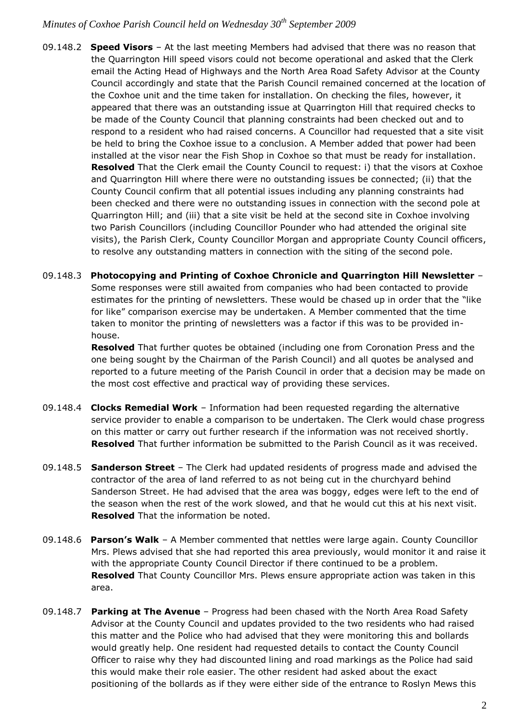- 09.148.2 **Speed Visors** At the last meeting Members had advised that there was no reason that the Quarrington Hill speed visors could not become operational and asked that the Clerk email the Acting Head of Highways and the North Area Road Safety Advisor at the County Council accordingly and state that the Parish Council remained concerned at the location of the Coxhoe unit and the time taken for installation. On checking the files, however, it appeared that there was an outstanding issue at Quarrington Hill that required checks to be made of the County Council that planning constraints had been checked out and to respond to a resident who had raised concerns. A Councillor had requested that a site visit be held to bring the Coxhoe issue to a conclusion. A Member added that power had been installed at the visor near the Fish Shop in Coxhoe so that must be ready for installation. **Resolved** That the Clerk email the County Council to request: i) that the visors at Coxhoe and Quarrington Hill where there were no outstanding issues be connected; (ii) that the County Council confirm that all potential issues including any planning constraints had been checked and there were no outstanding issues in connection with the second pole at Quarrington Hill; and (iii) that a site visit be held at the second site in Coxhoe involving two Parish Councillors (including Councillor Pounder who had attended the original site visits), the Parish Clerk, County Councillor Morgan and appropriate County Council officers, to resolve any outstanding matters in connection with the siting of the second pole.
- 09.148.3 **Photocopying and Printing of Coxhoe Chronicle and Quarrington Hill Newsletter** Some responses were still awaited from companies who had been contacted to provide estimates for the printing of newsletters. These would be chased up in order that the "like for like" comparison exercise may be undertaken. A Member commented that the time taken to monitor the printing of newsletters was a factor if this was to be provided inhouse.

**Resolved** That further quotes be obtained (including one from Coronation Press and the one being sought by the Chairman of the Parish Council) and all quotes be analysed and reported to a future meeting of the Parish Council in order that a decision may be made on the most cost effective and practical way of providing these services.

- 09.148.4 **Clocks Remedial Work** Information had been requested regarding the alternative service provider to enable a comparison to be undertaken. The Clerk would chase progress on this matter or carry out further research if the information was not received shortly. **Resolved** That further information be submitted to the Parish Council as it was received.
- 09.148.5 **Sanderson Street** The Clerk had updated residents of progress made and advised the contractor of the area of land referred to as not being cut in the churchyard behind Sanderson Street. He had advised that the area was boggy, edges were left to the end of the season when the rest of the work slowed, and that he would cut this at his next visit. **Resolved** That the information be noted.
- 09.148.6 **Parson's Walk** A Member commented that nettles were large again. County Councillor Mrs. Plews advised that she had reported this area previously, would monitor it and raise it with the appropriate County Council Director if there continued to be a problem. **Resolved** That County Councillor Mrs. Plews ensure appropriate action was taken in this area.
- 09.148.7 **Parking at The Avenue** Progress had been chased with the North Area Road Safety Advisor at the County Council and updates provided to the two residents who had raised this matter and the Police who had advised that they were monitoring this and bollards would greatly help. One resident had requested details to contact the County Council Officer to raise why they had discounted lining and road markings as the Police had said this would make their role easier. The other resident had asked about the exact positioning of the bollards as if they were either side of the entrance to Roslyn Mews this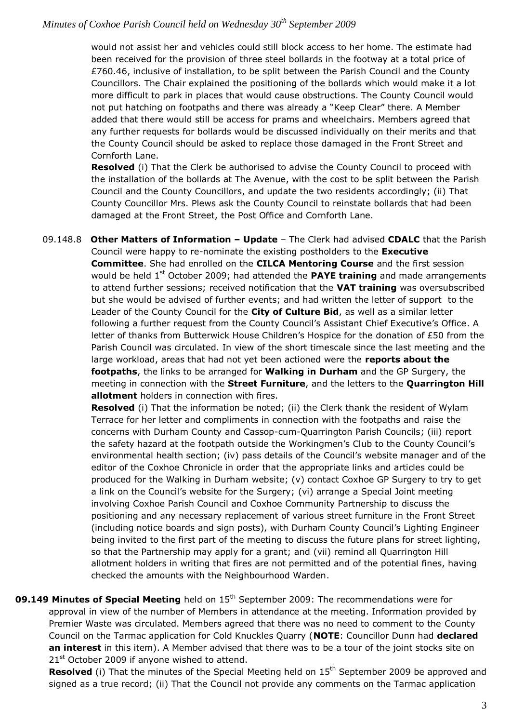would not assist her and vehicles could still block access to her home. The estimate had been received for the provision of three steel bollards in the footway at a total price of £760.46, inclusive of installation, to be split between the Parish Council and the County Councillors. The Chair explained the positioning of the bollards which would make it a lot more difficult to park in places that would cause obstructions. The County Council would not put hatching on footpaths and there was already a "Keep Clear" there. A Member added that there would still be access for prams and wheelchairs. Members agreed that any further requests for bollards would be discussed individually on their merits and that the County Council should be asked to replace those damaged in the Front Street and Cornforth Lane.

**Resolved** (i) That the Clerk be authorised to advise the County Council to proceed with the installation of the bollards at The Avenue, with the cost to be split between the Parish Council and the County Councillors, and update the two residents accordingly; (ii) That County Councillor Mrs. Plews ask the County Council to reinstate bollards that had been damaged at the Front Street, the Post Office and Cornforth Lane.

09.148.8 **Other Matters of Information – Update** – The Clerk had advised **CDALC** that the Parish Council were happy to re-nominate the existing postholders to the **Executive Committee**. She had enrolled on the **CILCA Mentoring Course** and the first session would be held 1<sup>st</sup> October 2009; had attended the **PAYE training** and made arrangements to attend further sessions; received notification that the **VAT training** was oversubscribed but she would be advised of further events; and had written the letter of support to the Leader of the County Council for the **City of Culture Bid**, as well as a similar letter following a further request from the County Council's Assistant Chief Executive's Office. A letter of thanks from Butterwick House Children's Hospice for the donation of £50 from the Parish Council was circulated. In view of the short timescale since the last meeting and the large workload, areas that had not yet been actioned were the **reports about the footpaths**, the links to be arranged for **Walking in Durham** and the GP Surgery, the meeting in connection with the **Street Furniture**, and the letters to the **Quarrington Hill allotment** holders in connection with fires.

**Resolved** (i) That the information be noted; (ii) the Clerk thank the resident of Wylam Terrace for her letter and compliments in connection with the footpaths and raise the concerns with Durham County and Cassop-cum-Quarrington Parish Councils; (iii) report the safety hazard at the footpath outside the Workingmen's Club to the County Council's environmental health section; (iv) pass details of the Council's website manager and of the editor of the Coxhoe Chronicle in order that the appropriate links and articles could be produced for the Walking in Durham website; (v) contact Coxhoe GP Surgery to try to get a link on the Council's website for the Surgery; (vi) arrange a Special Joint meeting involving Coxhoe Parish Council and Coxhoe Community Partnership to discuss the positioning and any necessary replacement of various street furniture in the Front Street (including notice boards and sign posts), with Durham County Council's Lighting Engineer being invited to the first part of the meeting to discuss the future plans for street lighting, so that the Partnership may apply for a grant; and (vii) remind all Quarrington Hill allotment holders in writing that fires are not permitted and of the potential fines, having checked the amounts with the Neighbourhood Warden.

**09.149 Minutes of Special Meeting** held on 15<sup>th</sup> September 2009: The recommendations were for approval in view of the number of Members in attendance at the meeting. Information provided by Premier Waste was circulated. Members agreed that there was no need to comment to the County Council on the Tarmac application for Cold Knuckles Quarry (**NOTE**: Councillor Dunn had **declared an interest** in this item). A Member advised that there was to be a tour of the joint stocks site on  $21<sup>st</sup>$  October 2009 if anyone wished to attend.

**Resolved** (i) That the minutes of the Special Meeting held on 15<sup>th</sup> September 2009 be approved and signed as a true record; (ii) That the Council not provide any comments on the Tarmac application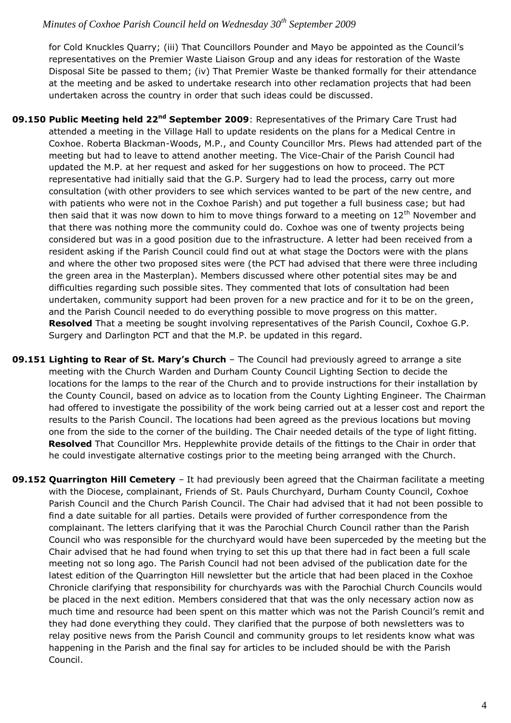for Cold Knuckles Quarry; (iii) That Councillors Pounder and Mayo be appointed as the Council's representatives on the Premier Waste Liaison Group and any ideas for restoration of the Waste Disposal Site be passed to them; (iv) That Premier Waste be thanked formally for their attendance at the meeting and be asked to undertake research into other reclamation projects that had been undertaken across the country in order that such ideas could be discussed.

- **09.150 Public Meeting held 22nd September 2009**: Representatives of the Primary Care Trust had attended a meeting in the Village Hall to update residents on the plans for a Medical Centre in Coxhoe. Roberta Blackman-Woods, M.P., and County Councillor Mrs. Plews had attended part of the meeting but had to leave to attend another meeting. The Vice-Chair of the Parish Council had updated the M.P. at her request and asked for her suggestions on how to proceed. The PCT representative had initially said that the G.P. Surgery had to lead the process, carry out more consultation (with other providers to see which services wanted to be part of the new centre, and with patients who were not in the Coxhoe Parish) and put together a full business case; but had then said that it was now down to him to move things forward to a meeting on  $12<sup>th</sup>$  November and that there was nothing more the community could do. Coxhoe was one of twenty projects being considered but was in a good position due to the infrastructure. A letter had been received from a resident asking if the Parish Council could find out at what stage the Doctors were with the plans and where the other two proposed sites were (the PCT had advised that there were three including the green area in the Masterplan). Members discussed where other potential sites may be and difficulties regarding such possible sites. They commented that lots of consultation had been undertaken, community support had been proven for a new practice and for it to be on the green, and the Parish Council needed to do everything possible to move progress on this matter. **Resolved** That a meeting be sought involving representatives of the Parish Council, Coxhoe G.P. Surgery and Darlington PCT and that the M.P. be updated in this regard.
- **09.151 Lighting to Rear of St. Mary's Church** The Council had previously agreed to arrange a site meeting with the Church Warden and Durham County Council Lighting Section to decide the locations for the lamps to the rear of the Church and to provide instructions for their installation by the County Council, based on advice as to location from the County Lighting Engineer. The Chairman had offered to investigate the possibility of the work being carried out at a lesser cost and report the results to the Parish Council. The locations had been agreed as the previous locations but moving one from the side to the corner of the building. The Chair needed details of the type of light fitting.  **Resolved** That Councillor Mrs. Hepplewhite provide details of the fittings to the Chair in order that he could investigate alternative costings prior to the meeting being arranged with the Church.
- **09.152 Quarrington Hill Cemetery** It had previously been agreed that the Chairman facilitate a meeting with the Diocese, complainant, Friends of St. Pauls Churchyard, Durham County Council, Coxhoe Parish Council and the Church Parish Council. The Chair had advised that it had not been possible to find a date suitable for all parties. Details were provided of further correspondence from the complainant. The letters clarifying that it was the Parochial Church Council rather than the Parish Council who was responsible for the churchyard would have been superceded by the meeting but the Chair advised that he had found when trying to set this up that there had in fact been a full scale meeting not so long ago. The Parish Council had not been advised of the publication date for the latest edition of the Quarrington Hill newsletter but the article that had been placed in the Coxhoe Chronicle clarifying that responsibility for churchyards was with the Parochial Church Councils would be placed in the next edition. Members considered that that was the only necessary action now as much time and resource had been spent on this matter which was not the Parish Council's remit and they had done everything they could. They clarified that the purpose of both newsletters was to relay positive news from the Parish Council and community groups to let residents know what was happening in the Parish and the final say for articles to be included should be with the Parish Council.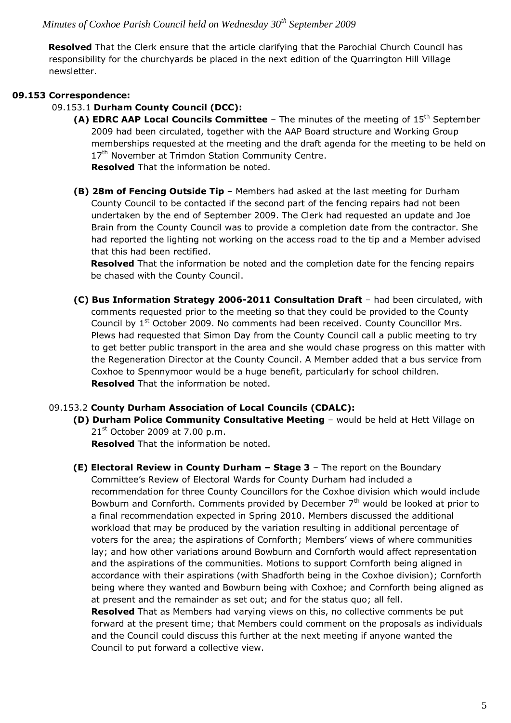**Resolved** That the Clerk ensure that the article clarifying that the Parochial Church Council has responsibility for the churchyards be placed in the next edition of the Quarrington Hill Village newsletter.

## **09.153 Correspondence:**

### 09.153.1 **Durham County Council (DCC):**

**(A) EDRC AAP Local Councils Committee** – The minutes of the meeting of 15th September 2009 had been circulated, together with the AAP Board structure and Working Group memberships requested at the meeting and the draft agenda for the meeting to be held on 17<sup>th</sup> November at Trimdon Station Community Centre. **Resolved** That the information be noted.

**(B) 28m of Fencing Outside Tip** – Members had asked at the last meeting for Durham County Council to be contacted if the second part of the fencing repairs had not been undertaken by the end of September 2009. The Clerk had requested an update and Joe Brain from the County Council was to provide a completion date from the contractor. She had reported the lighting not working on the access road to the tip and a Member advised that this had been rectified.

**Resolved** That the information be noted and the completion date for the fencing repairs be chased with the County Council.

**(C) Bus Information Strategy 2006-2011 Consultation Draft** – had been circulated, with comments requested prior to the meeting so that they could be provided to the County Council by 1<sup>st</sup> October 2009. No comments had been received. County Councillor Mrs. Plews had requested that Simon Day from the County Council call a public meeting to try to get better public transport in the area and she would chase progress on this matter with the Regeneration Director at the County Council. A Member added that a bus service from Coxhoe to Spennymoor would be a huge benefit, particularly for school children. **Resolved** That the information be noted.

### 09.153.2 **County Durham Association of Local Councils (CDALC):**

**(D) Durham Police Community Consultative Meeting** – would be held at Hett Village on  $21<sup>st</sup>$  October 2009 at 7.00 p.m.

**Resolved** That the information be noted.

**(E) Electoral Review in County Durham – Stage 3** – The report on the Boundary Committee's Review of Electoral Wards for County Durham had included a recommendation for three County Councillors for the Coxhoe division which would include Bowburn and Cornforth. Comments provided by December  $7<sup>th</sup>$  would be looked at prior to a final recommendation expected in Spring 2010. Members discussed the additional workload that may be produced by the variation resulting in additional percentage of voters for the area; the aspirations of Cornforth; Members' views of where communities lay; and how other variations around Bowburn and Cornforth would affect representation and the aspirations of the communities. Motions to support Cornforth being aligned in accordance with their aspirations (with Shadforth being in the Coxhoe division); Cornforth being where they wanted and Bowburn being with Coxhoe; and Cornforth being aligned as at present and the remainder as set out; and for the status quo; all fell.

**Resolved** That as Members had varying views on this, no collective comments be put forward at the present time; that Members could comment on the proposals as individuals and the Council could discuss this further at the next meeting if anyone wanted the Council to put forward a collective view.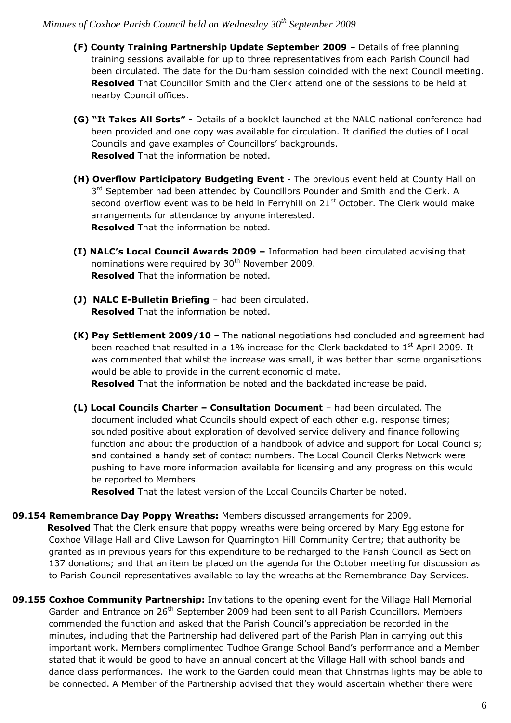- **(F) County Training Partnership Update September 2009** Details of free planning training sessions available for up to three representatives from each Parish Council had been circulated. The date for the Durham session coincided with the next Council meeting. **Resolved** That Councillor Smith and the Clerk attend one of the sessions to be held at nearby Council offices.
- **(G) "It Takes All Sorts" -** Details of a booklet launched at the NALC national conference had been provided and one copy was available for circulation. It clarified the duties of Local Councils and gave examples of Councillors' backgrounds. **Resolved** That the information be noted.
- **(H) Overflow Participatory Budgeting Event** The previous event held at County Hall on 3<sup>rd</sup> September had been attended by Councillors Pounder and Smith and the Clerk. A second overflow event was to be held in Ferryhill on  $21<sup>st</sup>$  October. The Clerk would make arrangements for attendance by anyone interested. **Resolved** That the information be noted.
- **(I) NALC's Local Council Awards 2009 –** Information had been circulated advising that nominations were required by  $30<sup>th</sup>$  November 2009. **Resolved** That the information be noted.
- **(J) NALC E-Bulletin Briefing**  had been circulated. **Resolved** That the information be noted.
- **(K) Pay Settlement 2009/10**  The national negotiations had concluded and agreement had been reached that resulted in a 1% increase for the Clerk backdated to  $1<sup>st</sup>$  April 2009. It was commented that whilst the increase was small, it was better than some organisations would be able to provide in the current economic climate. **Resolved** That the information be noted and the backdated increase be paid.
	-
- **(L) Local Councils Charter – Consultation Document**  had been circulated. The document included what Councils should expect of each other e.g. response times; sounded positive about exploration of devolved service delivery and finance following function and about the production of a handbook of advice and support for Local Councils; and contained a handy set of contact numbers. The Local Council Clerks Network were pushing to have more information available for licensing and any progress on this would be reported to Members.

**Resolved** That the latest version of the Local Councils Charter be noted.

### **09.154 Remembrance Day Poppy Wreaths:** Members discussed arrangements for 2009.

 **Resolved** That the Clerk ensure that poppy wreaths were being ordered by Mary Egglestone for Coxhoe Village Hall and Clive Lawson for Quarrington Hill Community Centre; that authority be granted as in previous years for this expenditure to be recharged to the Parish Council as Section 137 donations; and that an item be placed on the agenda for the October meeting for discussion as to Parish Council representatives available to lay the wreaths at the Remembrance Day Services.

**09.155 Coxhoe Community Partnership:** Invitations to the opening event for the Village Hall Memorial Garden and Entrance on 26<sup>th</sup> September 2009 had been sent to all Parish Councillors. Members commended the function and asked that the Parish Council's appreciation be recorded in the minutes, including that the Partnership had delivered part of the Parish Plan in carrying out this important work. Members complimented Tudhoe Grange School Band's performance and a Member stated that it would be good to have an annual concert at the Village Hall with school bands and dance class performances. The work to the Garden could mean that Christmas lights may be able to be connected. A Member of the Partnership advised that they would ascertain whether there were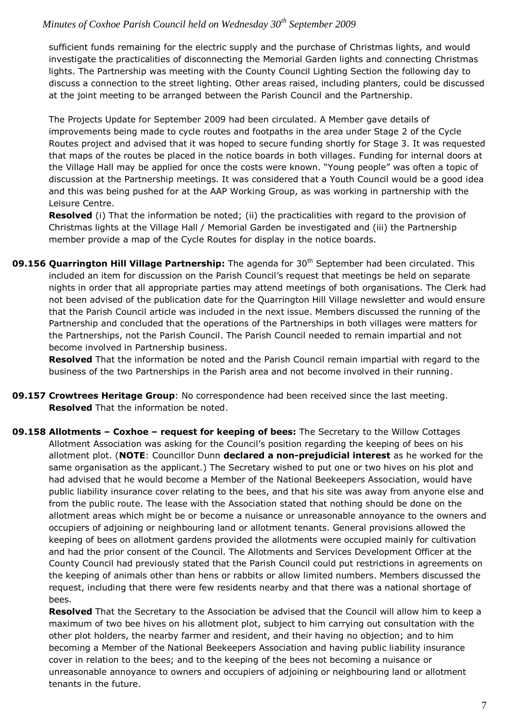sufficient funds remaining for the electric supply and the purchase of Christmas lights, and would investigate the practicalities of disconnecting the Memorial Garden lights and connecting Christmas lights. The Partnership was meeting with the County Council Lighting Section the following day to discuss a connection to the street lighting. Other areas raised, including planters, could be discussed at the joint meeting to be arranged between the Parish Council and the Partnership.

The Projects Update for September 2009 had been circulated. A Member gave details of improvements being made to cycle routes and footpaths in the area under Stage 2 of the Cycle Routes project and advised that it was hoped to secure funding shortly for Stage 3. It was requested that maps of the routes be placed in the notice boards in both villages. Funding for internal doors at the Village Hall may be applied for once the costs were known. "Young people" was often a topic of discussion at the Partnership meetings. It was considered that a Youth Council would be a good idea and this was being pushed for at the AAP Working Group, as was working in partnership with the Leisure Centre.

**Resolved** (i) That the information be noted; (ii) the practicalities with regard to the provision of Christmas lights at the Village Hall / Memorial Garden be investigated and (iii) the Partnership member provide a map of the Cycle Routes for display in the notice boards.

**09.156 Quarrington Hill Village Partnership:** The agenda for 30<sup>th</sup> September had been circulated. This included an item for discussion on the Parish Council's request that meetings be held on separate nights in order that all appropriate parties may attend meetings of both organisations. The Clerk had not been advised of the publication date for the Quarrington Hill Village newsletter and would ensure that the Parish Council article was included in the next issue. Members discussed the running of the Partnership and concluded that the operations of the Partnerships in both villages were matters for the Partnerships, not the Parish Council. The Parish Council needed to remain impartial and not become involved in Partnership business.

**Resolved** That the information be noted and the Parish Council remain impartial with regard to the business of the two Partnerships in the Parish area and not become involved in their running.

**09.157 Crowtrees Heritage Group**: No correspondence had been received since the last meeting. **Resolved** That the information be noted.

**09.158 Allotments – Coxhoe – request for keeping of bees:** The Secretary to the Willow Cottages Allotment Association was asking for the Council's position regarding the keeping of bees on his allotment plot. (**NOTE**: Councillor Dunn **declared a non-prejudicial interest** as he worked for the same organisation as the applicant.) The Secretary wished to put one or two hives on his plot and had advised that he would become a Member of the National Beekeepers Association, would have public liability insurance cover relating to the bees, and that his site was away from anyone else and from the public route. The lease with the Association stated that nothing should be done on the allotment areas which might be or become a nuisance or unreasonable annoyance to the owners and occupiers of adjoining or neighbouring land or allotment tenants. General provisions allowed the keeping of bees on allotment gardens provided the allotments were occupied mainly for cultivation and had the prior consent of the Council. The Allotments and Services Development Officer at the County Council had previously stated that the Parish Council could put restrictions in agreements on the keeping of animals other than hens or rabbits or allow limited numbers. Members discussed the request, including that there were few residents nearby and that there was a national shortage of bees.

**Resolved** That the Secretary to the Association be advised that the Council will allow him to keep a maximum of two bee hives on his allotment plot, subject to him carrying out consultation with the other plot holders, the nearby farmer and resident, and their having no objection; and to him becoming a Member of the National Beekeepers Association and having public liability insurance cover in relation to the bees; and to the keeping of the bees not becoming a nuisance or unreasonable annoyance to owners and occupiers of adjoining or neighbouring land or allotment tenants in the future.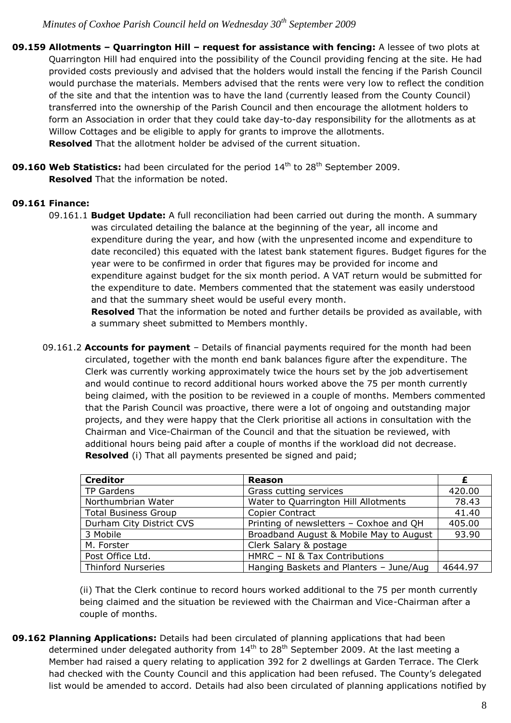- **09.159 Allotments – Quarrington Hill – request for assistance with fencing:** A lessee of two plots at Quarrington Hill had enquired into the possibility of the Council providing fencing at the site. He had provided costs previously and advised that the holders would install the fencing if the Parish Council would purchase the materials. Members advised that the rents were very low to reflect the condition of the site and that the intention was to have the land (currently leased from the County Council) transferred into the ownership of the Parish Council and then encourage the allotment holders to form an Association in order that they could take day-to-day responsibility for the allotments as at Willow Cottages and be eligible to apply for grants to improve the allotments. **Resolved** That the allotment holder be advised of the current situation.
- **09.160 Web Statistics:** had been circulated for the period 14<sup>th</sup> to 28<sup>th</sup> September 2009. **Resolved** That the information be noted.

### **09.161 Finance:**

09.161.1 **Budget Update:** A full reconciliation had been carried out during the month. A summary was circulated detailing the balance at the beginning of the year, all income and expenditure during the year, and how (with the unpresented income and expenditure to date reconciled) this equated with the latest bank statement figures. Budget figures for the year were to be confirmed in order that figures may be provided for income and expenditure against budget for the six month period. A VAT return would be submitted for the expenditure to date. Members commented that the statement was easily understood and that the summary sheet would be useful every month.

 **Resolved** That the information be noted and further details be provided as available, with a summary sheet submitted to Members monthly.

09.161.2 **Accounts for payment** – Details of financial payments required for the month had been circulated, together with the month end bank balances figure after the expenditure. The Clerk was currently working approximately twice the hours set by the job advertisement and would continue to record additional hours worked above the 75 per month currently being claimed, with the position to be reviewed in a couple of months. Members commented that the Parish Council was proactive, there were a lot of ongoing and outstanding major projects, and they were happy that the Clerk prioritise all actions in consultation with the Chairman and Vice-Chairman of the Council and that the situation be reviewed, with additional hours being paid after a couple of months if the workload did not decrease. **Resolved** (i) That all payments presented be signed and paid;

| <b>Creditor</b>             | <b>Reason</b>                           |         |
|-----------------------------|-----------------------------------------|---------|
| <b>TP Gardens</b>           | Grass cutting services                  | 420.00  |
| Northumbrian Water          | Water to Quarrington Hill Allotments    | 78.43   |
| <b>Total Business Group</b> | Copier Contract                         | 41.40   |
| Durham City District CVS    | Printing of newsletters - Coxhoe and QH | 405.00  |
| 3 Mobile                    | Broadband August & Mobile May to August | 93.90   |
| M. Forster                  | Clerk Salary & postage                  |         |
| Post Office Ltd.            | HMRC - NI & Tax Contributions           |         |
| <b>Thinford Nurseries</b>   | Hanging Baskets and Planters - June/Aug | 4644.97 |

(ii) That the Clerk continue to record hours worked additional to the 75 per month currently being claimed and the situation be reviewed with the Chairman and Vice-Chairman after a couple of months.

**09.162 Planning Applications:** Details had been circulated of planning applications that had been determined under delegated authority from  $14<sup>th</sup>$  to 28<sup>th</sup> September 2009. At the last meeting a Member had raised a query relating to application 392 for 2 dwellings at Garden Terrace. The Clerk had checked with the County Council and this application had been refused. The County's delegated list would be amended to accord. Details had also been circulated of planning applications notified by